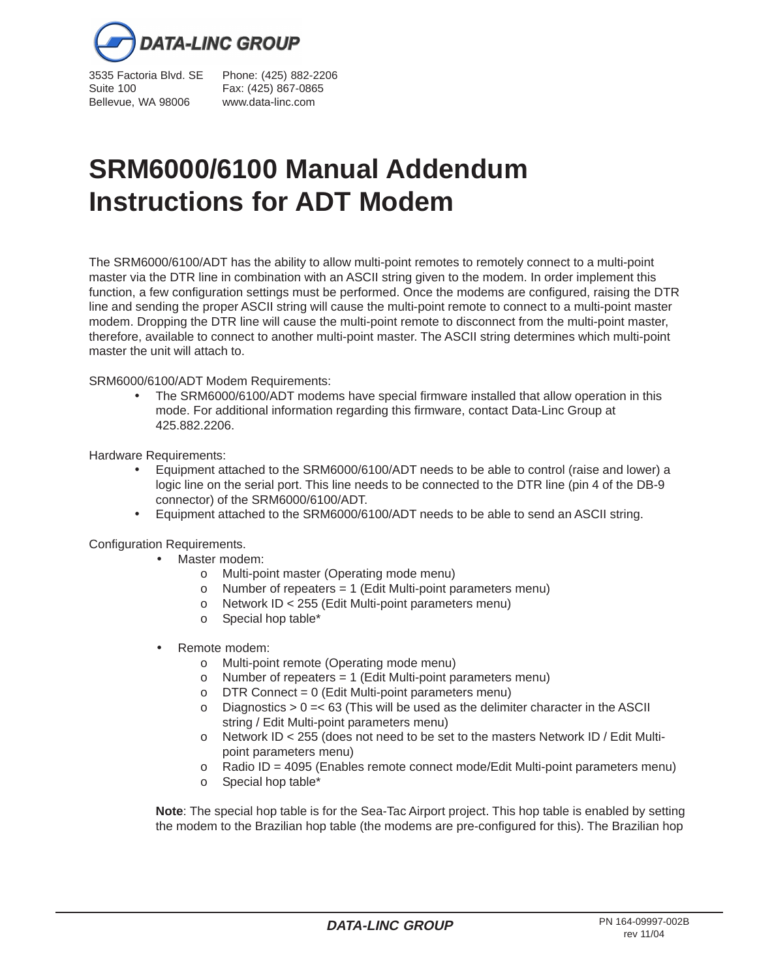

Suite 100 Fax: (425) 867-0865 Bellevue, WA 98006 www.data-linc.com

3535 Factoria Blvd. SE Phone: (425) 882-2206

## **SRM6000/6100 Manual Addendum Instructions for ADT Modem**

The SRM6000/6100/ADT has the ability to allow multi-point remotes to remotely connect to a multi-point master via the DTR line in combination with an ASCII string given to the modem. In order implement this function, a few configuration settings must be performed. Once the modems are configured, raising the DTR line and sending the proper ASCII string will cause the multi-point remote to connect to a multi-point master modem. Dropping the DTR line will cause the multi-point remote to disconnect from the multi-point master, therefore, available to connect to another multi-point master. The ASCII string determines which multi-point master the unit will attach to.

SRM6000/6100/ADT Modem Requirements:

• The SRM6000/6100/ADT modems have special firmware installed that allow operation in this mode. For additional information regarding this firmware, contact Data-Linc Group at 425.882.2206.

Hardware Requirements:

- Equipment attached to the SRM6000/6100/ADT needs to be able to control (raise and lower) a logic line on the serial port. This line needs to be connected to the DTR line (pin 4 of the DB-9 connector) of the SRM6000/6100/ADT.
- Equipment attached to the SRM6000/6100/ADT needs to be able to send an ASCII string.

Configuration Requirements.

- Master modem:
	- o Multi-point master (Operating mode menu)
	- $\circ$  Number of repeaters = 1 (Edit Multi-point parameters menu)
	- o Network ID < 255 (Edit Multi-point parameters menu)
	- o Special hop table\*
- Remote modem:
	- o Multi-point remote (Operating mode menu)
	- $\circ$  Number of repeaters = 1 (Edit Multi-point parameters menu)
	- $\circ$  DTR Connect = 0 (Edit Multi-point parameters menu)
	- $\circ$  Diagnostics  $> 0 = < 63$  (This will be used as the delimiter character in the ASCII) string / Edit Multi-point parameters menu)
	- o Network ID < 255 (does not need to be set to the masters Network ID / Edit Multipoint parameters menu)
	- $\circ$  Radio ID = 4095 (Enables remote connect mode/Edit Multi-point parameters menu)
	- o Special hop table\*

**Note**: The special hop table is for the Sea-Tac Airport project. This hop table is enabled by setting the modem to the Brazilian hop table (the modems are pre-configured for this). The Brazilian hop